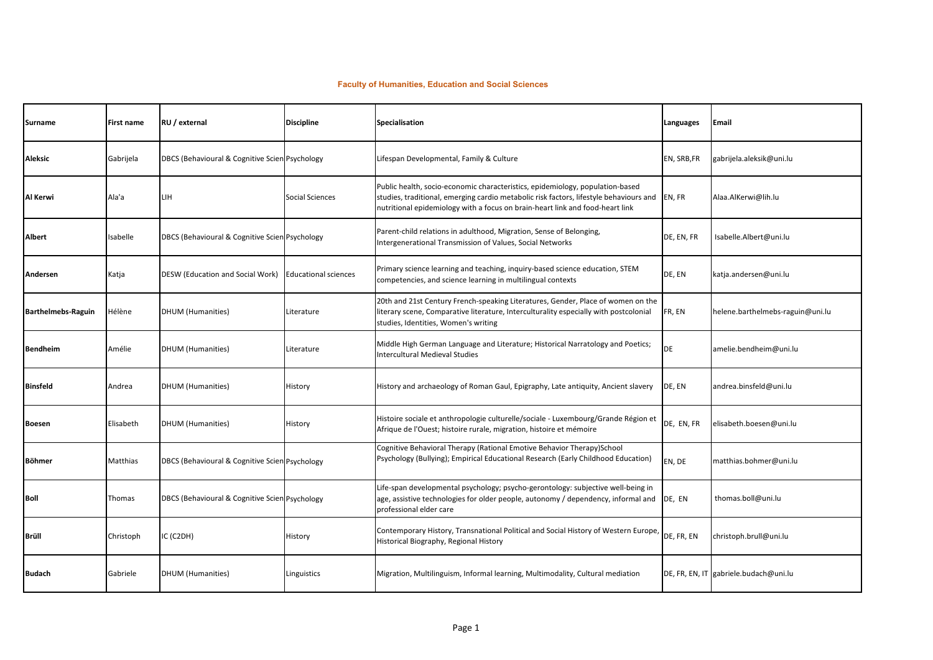## **Faculty of Humanities, Education and Social Sciences**

| Surname                   | First name | RU / external                                  | <b>Discipline</b>           | Specialisation                                                                                                                                                                                                                                           | Languages   | Email                                 |
|---------------------------|------------|------------------------------------------------|-----------------------------|----------------------------------------------------------------------------------------------------------------------------------------------------------------------------------------------------------------------------------------------------------|-------------|---------------------------------------|
| Aleksic                   | Gabrijela  | DBCS (Behavioural & Cognitive Scien Psychology |                             | Lifespan Developmental, Family & Culture                                                                                                                                                                                                                 | EN, SRB, FR | gabrijela.aleksik@uni.lu              |
| Al Kerwi                  | Ala'a      | LIН                                            | Social Sciences             | Public health, socio-economic characteristics, epidemiology, population-based<br>studies, traditional, emerging cardio metabolic risk factors, lifestyle behaviours and<br>nutritional epidemiology with a focus on brain-heart link and food-heart link | EN, FR      | Alaa.AlKerwi@lih.lu                   |
| Albert                    | sabelle    | DBCS (Behavioural & Cognitive Scien Psychology |                             | Parent-child relations in adulthood, Migration, Sense of Belonging,<br>Intergenerational Transmission of Values, Social Networks                                                                                                                         | DE, EN, FR  | Isabelle.Albert@uni.lu                |
| Andersen                  | Katja      | DESW (Education and Social Work)               | <b>Educational sciences</b> | Primary science learning and teaching, inquiry-based science education, STEM<br>competencies, and science learning in multilingual contexts                                                                                                              | DE, EN      | katja.andersen@uni.lu                 |
| <b>Barthelmebs-Raguin</b> | Hélène     | <b>DHUM (Humanities)</b>                       | Literature                  | 20th and 21st Century French-speaking Literatures, Gender, Place of women on the<br>literary scene, Comparative literature, Interculturality especially with postcolonial<br>studies, Identities, Women's writing                                        | FR, EN      | helene.barthelmebs-raguin@uni.lu      |
| <b>Bendheim</b>           | Amélie     | DHUM (Humanities)                              | Literature                  | Middle High German Language and Literature; Historical Narratology and Poetics;<br><b>Intercultural Medieval Studies</b>                                                                                                                                 | <b>DE</b>   | amelie.bendheim@uni.lu                |
| <b>Binsfeld</b>           | Andrea     | <b>DHUM (Humanities)</b>                       | History                     | History and archaeology of Roman Gaul, Epigraphy, Late antiquity, Ancient slavery                                                                                                                                                                        | DE, EN      | andrea.binsfeld@uni.lu                |
| Boesen                    | Elisabeth  | DHUM (Humanities)                              | History                     | Histoire sociale et anthropologie culturelle/sociale - Luxembourg/Grande Région et<br>Afrique de l'Ouest; histoire rurale, migration, histoire et mémoire                                                                                                | DE, EN, FR  | elisabeth.boesen@uni.lu               |
| Böhmer                    | Matthias   | DBCS (Behavioural & Cognitive Scien Psychology |                             | Cognitive Behavioral Therapy (Rational Emotive Behavior Therapy)School<br>Psychology (Bullying); Empirical Educational Research (Early Childhood Education)                                                                                              | EN, DE      | matthias.bohmer@uni.lu                |
| Boll                      | Thomas     | DBCS (Behavioural & Cognitive Scien Psychology |                             | Life-span developmental psychology; psycho-gerontology: subjective well-being in<br>age, assistive technologies for older people, autonomy / dependency, informal and<br>professional elder care                                                         | DE, EN      | thomas.boll@uni.lu                    |
| Brüll                     | Christoph  | C (C2DH)                                       | History                     | Contemporary History, Transnational Political and Social History of Western Europe,<br>Historical Biography, Regional History                                                                                                                            | DE, FR, EN  | christoph.brull@uni.lu                |
| <b>Budach</b>             | Gabriele   | <b>DHUM (Humanities)</b>                       | Linguistics                 | Migration, Multilinguism, Informal learning, Multimodality, Cultural mediation                                                                                                                                                                           |             | DE, FR, EN, IT gabriele.budach@uni.lu |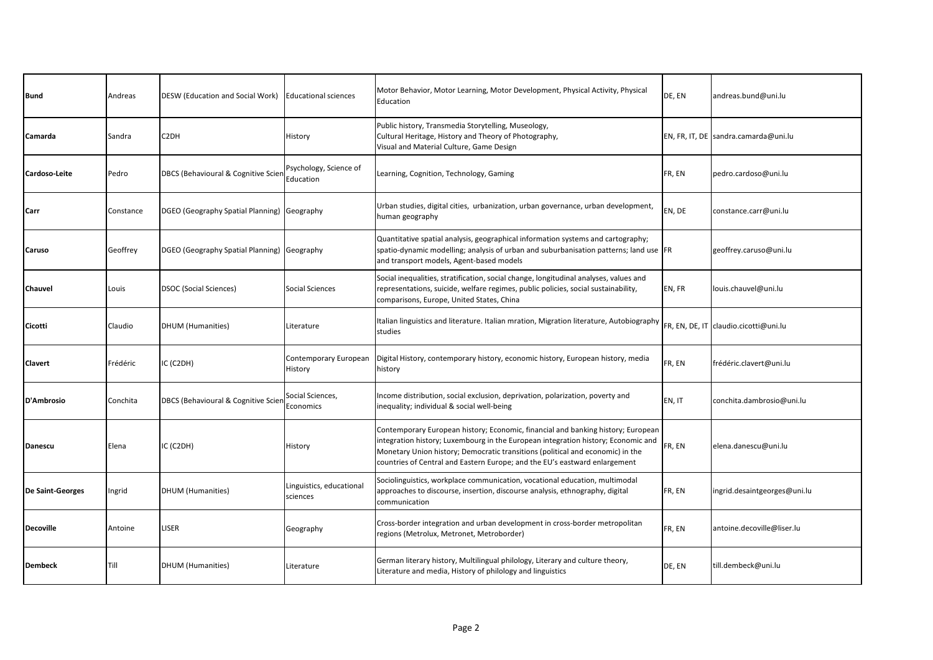| <b>Bund</b>             | Andreas   | DESW (Education and Social Work)            | <b>Educational sciences</b>          | Motor Behavior, Motor Learning, Motor Development, Physical Activity, Physical<br>Education                                                                                                                                                                                                                                           | DE, EN | andreas.bund@uni.lu                   |
|-------------------------|-----------|---------------------------------------------|--------------------------------------|---------------------------------------------------------------------------------------------------------------------------------------------------------------------------------------------------------------------------------------------------------------------------------------------------------------------------------------|--------|---------------------------------------|
| Camarda                 | Sandra    | C2DH                                        | History                              | Public history, Transmedia Storytelling, Museology,<br>Cultural Heritage, History and Theory of Photography,<br>Visual and Material Culture, Game Design                                                                                                                                                                              |        | EN, FR, IT, DE sandra.camarda@uni.lu  |
| Cardoso-Leite           | Pedro     | DBCS (Behavioural & Cognitive Scier         | Psychology, Science of<br>Education  | Learning, Cognition, Technology, Gaming                                                                                                                                                                                                                                                                                               | FR, EN | pedro.cardoso@uni.lu                  |
| Carr                    | Constance | DGEO (Geography Spatial Planning) Geography |                                      | Urban studies, digital cities, urbanization, urban governance, urban development,<br>human geography                                                                                                                                                                                                                                  | EN, DE | constance.carr@uni.lu                 |
| Caruso                  | Geoffrey  | DGEO (Geography Spatial Planning) Geography |                                      | Quantitative spatial analysis, geographical information systems and cartography;<br>spatio-dynamic modelling; analysis of urban and suburbanisation patterns; land use FR<br>and transport models, Agent-based models                                                                                                                 |        | geoffrey.caruso@uni.lu                |
| Chauvel                 | Louis     | <b>DSOC</b> (Social Sciences)               | Social Sciences                      | Social inequalities, stratification, social change, longitudinal analyses, values and<br>representations, suicide, welfare regimes, public policies, social sustainability,<br>comparisons, Europe, United States, China                                                                                                              | EN, FR | louis.chauvel@uni.lu                  |
| Cicotti                 | Claudio   | <b>DHUM</b> (Humanities)                    | Literature                           | Italian linguistics and literature. Italian mration, Migration literature, Autobiography<br>studies                                                                                                                                                                                                                                   |        | FR, EN, DE, IT claudio.cicotti@uni.lu |
| Clavert                 | Frédéric  | IC (C2DH)                                   | Contemporary European<br>History     | Digital History, contemporary history, economic history, European history, media<br>history                                                                                                                                                                                                                                           | FR, EN | frédéric.clavert@uni.lu               |
| D'Ambrosio              | Conchita  | DBCS (Behavioural & Cognitive Scien         | Social Sciences,<br>Economics        | Income distribution, social exclusion, deprivation, polarization, poverty and<br>inequality; individual & social well-being                                                                                                                                                                                                           | EN, IT | conchita.dambrosio@uni.lu             |
| <b>Danescu</b>          | Elena     | IC (C2DH)                                   | History                              | Contemporary European history; Economic, financial and banking history; European<br>integration history; Luxembourg in the European integration history; Economic and<br>Monetary Union history; Democratic transitions (political and economic) in the<br>countries of Central and Eastern Europe; and the EU's eastward enlargement | FR, EN | elena.danescu@uni.lu                  |
| <b>De Saint-Georges</b> | Ingrid    | <b>DHUM</b> (Humanities)                    | Linguistics, educational<br>sciences | Sociolinguistics, workplace communication, vocational education, multimodal<br>approaches to discourse, insertion, discourse analysis, ethnography, digital<br>communication                                                                                                                                                          | FR, EN | ingrid.desaintgeorges@uni.lu          |
| <b>Decoville</b>        | Antoine   | LISER                                       | Geography                            | Cross-border integration and urban development in cross-border metropolitan<br>regions (Metrolux, Metronet, Metroborder)                                                                                                                                                                                                              | FR, EN | antoine.decoville@liser.lu            |
| <b>Dembeck</b>          | Till      | <b>DHUM</b> (Humanities)                    | Literature                           | German literary history, Multilingual philology, Literary and culture theory,<br>Literature and media, History of philology and linguistics                                                                                                                                                                                           | DE, EN | till.dembeck@uni.lu                   |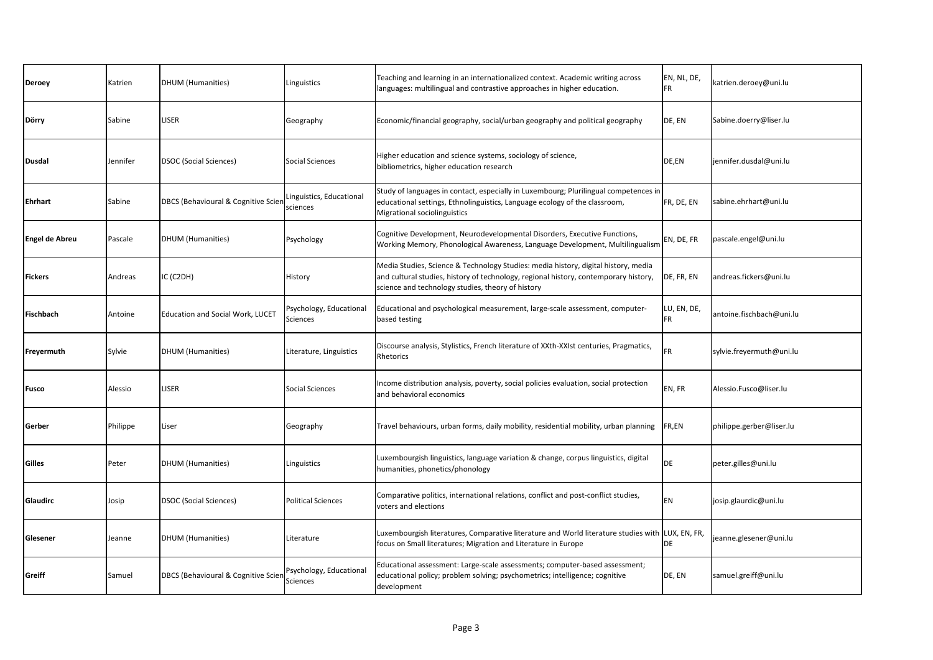| <b>Deroey</b>         | Katrien  | <b>DHUM</b> (Humanities)                | Linguistics                                | Teaching and learning in an internationalized context. Academic writing across<br>languages: multilingual and contrastive approaches in higher education.                                                                       | EN, NL, DE,<br><b>FR</b> | katrien.deroey@uni.lu    |
|-----------------------|----------|-----------------------------------------|--------------------------------------------|---------------------------------------------------------------------------------------------------------------------------------------------------------------------------------------------------------------------------------|--------------------------|--------------------------|
| Dörry                 | Sabine   | LISER                                   | Geography                                  | Economic/financial geography, social/urban geography and political geography                                                                                                                                                    | DE, EN                   | Sabine.doerry@liser.lu   |
| <b>Dusdal</b>         | Jennifer | <b>DSOC (Social Sciences)</b>           | <b>Social Sciences</b>                     | Higher education and science systems, sociology of science,<br>bibliometrics, higher education research                                                                                                                         | DE,EN                    | jennifer.dusdal@uni.lu   |
| Ehrhart               | Sabine   | DBCS (Behavioural & Cognitive Scien     | inguistics, Educational<br>sciences        | Study of languages in contact, especially in Luxembourg; Plurilingual competences in<br>educational settings, Ethnolinguistics, Language ecology of the classroom,<br><b>Migrational sociolinguistics</b>                       | FR, DE, EN               | sabine.ehrhart@uni.lu    |
| <b>Engel de Abreu</b> | Pascale  | <b>DHUM</b> (Humanities)                | Psychology                                 | Cognitive Development, Neurodevelopmental Disorders, Executive Functions,<br>Working Memory, Phonological Awareness, Language Development, Multilingualism                                                                      | EN, DE, FR               | pascale.engel@uni.lu     |
| Fickers               | Andreas  | C (C2DH)                                | History                                    | Media Studies, Science & Technology Studies: media history, digital history, media<br>and cultural studies, history of technology, regional history, contemporary history,<br>science and technology studies, theory of history | DE, FR, EN               | andreas.fickers@uni.lu   |
| <b>Fischbach</b>      | Antoine  | <b>Education and Social Work, LUCET</b> | Psychology, Educational<br>Sciences        | Educational and psychological measurement, large-scale assessment, computer-<br>based testing                                                                                                                                   | LU, EN, DE,<br>FR        | antoine.fischbach@uni.lu |
| Freyermuth            | Sylvie   | DHUM (Humanities)                       | Literature, Linguistics                    | Discourse analysis, Stylistics, French literature of XXth-XXIst centuries, Pragmatics,<br>Rhetorics                                                                                                                             | FR                       | sylvie.freyermuth@uni.lu |
| Fusco                 | Alessio  | LISER                                   | <b>Social Sciences</b>                     | Income distribution analysis, poverty, social policies evaluation, social protection<br>and behavioral economics                                                                                                                | EN, FR                   | Alessio.Fusco@liser.lu   |
| Gerber                | Philippe | Liser                                   | Geography                                  | Travel behaviours, urban forms, daily mobility, residential mobility, urban planning                                                                                                                                            | FR,EN                    | philippe.gerber@liser.lu |
| Gilles                | Peter    | <b>DHUM</b> (Humanities)                | Linguistics                                | Luxembourgish linguistics, language variation & change, corpus linguistics, digital<br>humanities, phonetics/phonology                                                                                                          | DE                       | peter.gilles@uni.lu      |
| Glaudirc              | Josip    | <b>DSOC (Social Sciences)</b>           | <b>Political Sciences</b>                  | Comparative politics, international relations, conflict and post-conflict studies,<br>voters and elections                                                                                                                      | <b>EN</b>                | josip.glaurdic@uni.lu    |
| Glesener              | Jeanne   | <b>DHUM</b> (Humanities)                | Literature                                 | Luxembourgish literatures, Comparative literature and World literature studies with LUX, EN, FR,<br>focus on Small literatures; Migration and Literature in Europe                                                              | DE                       | jeanne.glesener@uni.lu   |
| Greiff                | Samuel   | DBCS (Behavioural & Cognitive Scien     | Psychology, Educational<br><b>Sciences</b> | Educational assessment: Large-scale assessments; computer-based assessment;<br>educational policy; problem solving; psychometrics; intelligence; cognitive<br>development                                                       | DE, EN                   | samuel.greiff@uni.lu     |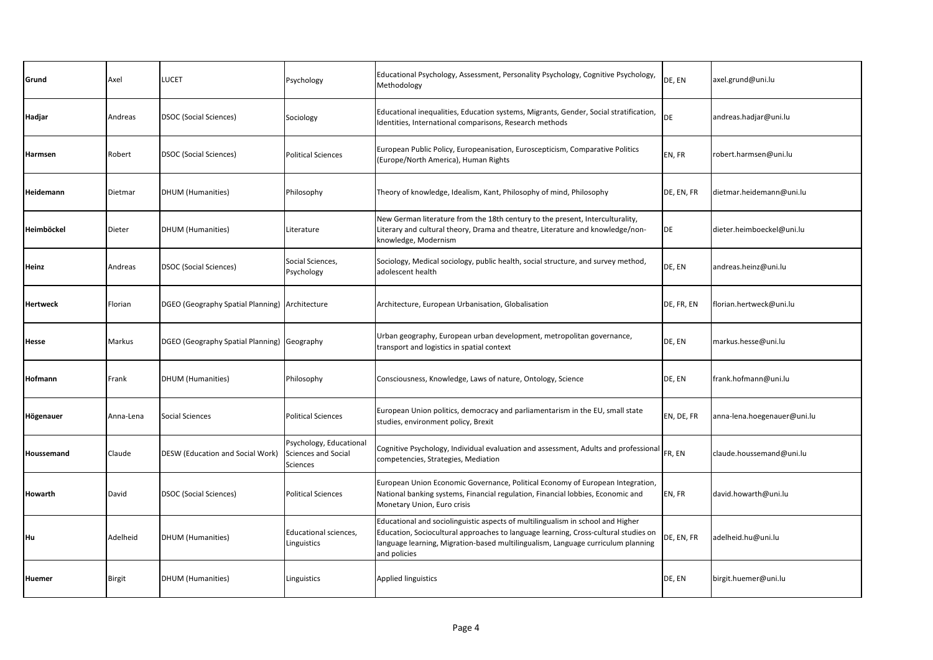| Grund      | Axel      | <b>UCET</b>                                    | Psychology                                                        | Educational Psychology, Assessment, Personality Psychology, Cognitive Psychology,<br>Methodology                                                                                                                                                                           | DE, EN     | axel.grund@uni.lu           |
|------------|-----------|------------------------------------------------|-------------------------------------------------------------------|----------------------------------------------------------------------------------------------------------------------------------------------------------------------------------------------------------------------------------------------------------------------------|------------|-----------------------------|
| Hadjar     | Andreas   | <b>DSOC (Social Sciences)</b>                  | Sociology                                                         | Educational inequalities, Education systems, Migrants, Gender, Social stratification,<br>Identities, International comparisons, Research methods                                                                                                                           | DE         | andreas.hadjar@uni.lu       |
| Harmsen    | Robert    | <b>DSOC (Social Sciences)</b>                  | <b>Political Sciences</b>                                         | European Public Policy, Europeanisation, Euroscepticism, Comparative Politics<br>(Europe/North America), Human Rights                                                                                                                                                      | EN, FR     | robert.harmsen@uni.lu       |
| Heidemann  | Dietmar   | <b>DHUM</b> (Humanities)                       | Philosophy                                                        | Theory of knowledge, Idealism, Kant, Philosophy of mind, Philosophy                                                                                                                                                                                                        | DE, EN, FR | dietmar.heidemann@uni.lu    |
| Heimböckel | Dieter    | <b>DHUM</b> (Humanities)                       | Literature                                                        | New German literature from the 18th century to the present, Interculturality,<br>Literary and cultural theory, Drama and theatre, Literature and knowledge/non-<br>knowledge, Modernism                                                                                    | DE         | dieter.heimboeckel@uni.lu   |
| Heinz      | Andreas   | <b>DSOC (Social Sciences)</b>                  | Social Sciences,<br>Psychology                                    | Sociology, Medical sociology, public health, social structure, and survey method,<br>adolescent health                                                                                                                                                                     | DE, EN     | andreas.heinz@uni.lu        |
| Hertweck   | Florian   | DGEO (Geography Spatial Planning) Architecture |                                                                   | Architecture, European Urbanisation, Globalisation                                                                                                                                                                                                                         | DE, FR, EN | florian.hertweck@uni.lu     |
| Hesse      | Markus    | DGEO (Geography Spatial Planning) Geography    |                                                                   | Urban geography, European urban development, metropolitan governance,<br>transport and logistics in spatial context                                                                                                                                                        | DE, EN     | markus.hesse@uni.lu         |
| Hofmann    | Frank     | <b>DHUM</b> (Humanities)                       | Philosophy                                                        | Consciousness, Knowledge, Laws of nature, Ontology, Science                                                                                                                                                                                                                | DE, EN     | frank.hofmann@uni.lu        |
| Högenauer  | Anna-Lena | <b>Social Sciences</b>                         | <b>Political Sciences</b>                                         | European Union politics, democracy and parliamentarism in the EU, small state<br>studies, environment policy, Brexit                                                                                                                                                       | EN, DE, FR | anna-lena.hoegenauer@uni.lu |
| Houssemand | Claude    | DESW (Education and Social Work)               | Psychology, Educational<br>Sciences and Social<br><b>Sciences</b> | Cognitive Psychology, Individual evaluation and assessment, Adults and professional<br>competencies, Strategies, Mediation                                                                                                                                                 | FR, EN     | claude.houssemand@uni.lu    |
| Howarth    | David     | DSOC (Social Sciences)                         | <b>Political Sciences</b>                                         | European Union Economic Governance, Political Economy of European Integration,<br>National banking systems, Financial regulation, Financial lobbies, Economic and<br>Monetary Union, Euro crisis                                                                           | EN, FR     | david.howarth@uni.lu        |
| Hu         | Adelheid  | DHUM (Humanities)                              | Educational sciences,<br>Linguistics                              | Educational and sociolinguistic aspects of multilingualism in school and Higher<br>Education, Sociocultural approaches to language learning, Cross-cultural studies on<br>language learning, Migration-based multilingualism, Language curriculum planning<br>and policies | DE, EN, FR | adelheid.hu@uni.lu          |
| Huemer     | Birgit    | <b>DHUM</b> (Humanities)                       | Linguistics                                                       | <b>Applied linguistics</b>                                                                                                                                                                                                                                                 | DE, EN     | birgit.huemer@uni.lu        |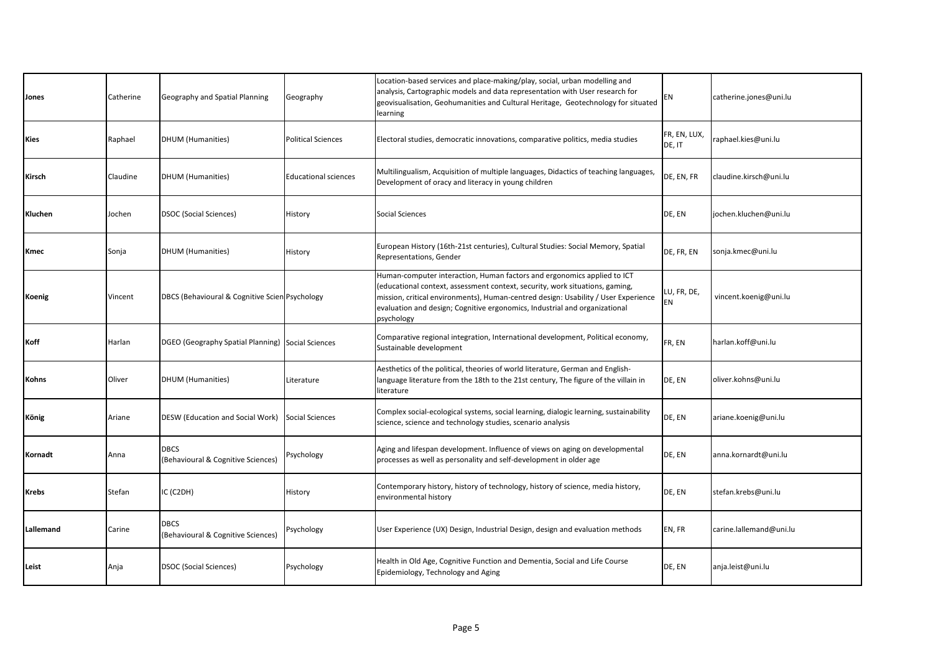| Jones        | Catherine | Geography and Spatial Planning                    | Geography                   | Location-based services and place-making/play, social, urban modelling and<br>analysis, Cartographic models and data representation with User research for<br>geovisualisation, Geohumanities and Cultural Heritage, Geotechnology for situated<br>learning                                                                               | EN                     | catherine.jones@uni.lu  |
|--------------|-----------|---------------------------------------------------|-----------------------------|-------------------------------------------------------------------------------------------------------------------------------------------------------------------------------------------------------------------------------------------------------------------------------------------------------------------------------------------|------------------------|-------------------------|
| Kies         | Raphael   | <b>DHUM</b> (Humanities)                          | <b>Political Sciences</b>   | Electoral studies, democratic innovations, comparative politics, media studies                                                                                                                                                                                                                                                            | FR, EN, LUX,<br>DE, IT | raphael.kies@uni.lu     |
| Kirsch       | Claudine  | <b>DHUM</b> (Humanities)                          | <b>Educational sciences</b> | Multilingualism, Acquisition of multiple languages, Didactics of teaching languages,<br>Development of oracy and literacy in young children                                                                                                                                                                                               | DE, EN, FR             | claudine.kirsch@uni.lu  |
| Kluchen      | Jochen    | <b>DSOC</b> (Social Sciences)                     | History                     | Social Sciences                                                                                                                                                                                                                                                                                                                           | DE, EN                 | jochen.kluchen@uni.lu   |
| Kmec         | Sonja     | <b>DHUM</b> (Humanities)                          | History                     | European History (16th-21st centuries), Cultural Studies: Social Memory, Spatial<br>Representations, Gender                                                                                                                                                                                                                               | DE, FR, EN             | sonja.kmec@uni.lu       |
| Koenig       | Vincent   | DBCS (Behavioural & Cognitive Scien Psychology    |                             | Human-computer interaction, Human factors and ergonomics applied to ICT<br>(educational context, assessment context, security, work situations, gaming,<br>mission, critical environments), Human-centred design: Usability / User Experience<br>evaluation and design; Cognitive ergonomics, Industrial and organizational<br>psychology | LU, FR, DE,<br>EN      | vincent.koenig@uni.lu   |
| Koff         | Harlan    | DGEO (Geography Spatial Planning) Social Sciences |                             | Comparative regional integration, International development, Political economy,<br>Sustainable development                                                                                                                                                                                                                                | FR, EN                 | harlan.koff@uni.lu      |
| Kohns        | Oliver    | <b>DHUM</b> (Humanities)                          | Literature                  | Aesthetics of the political, theories of world literature, German and English-<br>language literature from the 18th to the 21st century, The figure of the villain in<br>literature                                                                                                                                                       | DE, EN                 | oliver.kohns@uni.lu     |
| <b>König</b> | Ariane    | DESW (Education and Social Work)                  | <b>Social Sciences</b>      | Complex social-ecological systems, social learning, dialogic learning, sustainability<br>science, science and technology studies, scenario analysis                                                                                                                                                                                       | DE, EN                 | ariane.koenig@uni.lu    |
| Kornadt      | Anna      | <b>DBCS</b><br>(Behavioural & Cognitive Sciences) | Psychology                  | Aging and lifespan development. Influence of views on aging on developmental<br>processes as well as personality and self-development in older age                                                                                                                                                                                        | DE, EN                 | anna.kornardt@uni.lu    |
| Krebs        | Stefan    | IC (C2DH)                                         | History                     | Contemporary history, history of technology, history of science, media history,<br>environmental history                                                                                                                                                                                                                                  | DE, EN                 | stefan.krebs@uni.lu     |
| Lallemand    | Carine    | <b>DBCS</b><br>(Behavioural & Cognitive Sciences) | Psychology                  | User Experience (UX) Design, Industrial Design, design and evaluation methods                                                                                                                                                                                                                                                             | EN, FR                 | carine.lallemand@uni.lu |
| Leist        | Anja      | <b>DSOC</b> (Social Sciences)                     | Psychology                  | Health in Old Age, Cognitive Function and Dementia, Social and Life Course<br>Epidemiology, Technology and Aging                                                                                                                                                                                                                          | DE, EN                 | anja.leist@uni.lu       |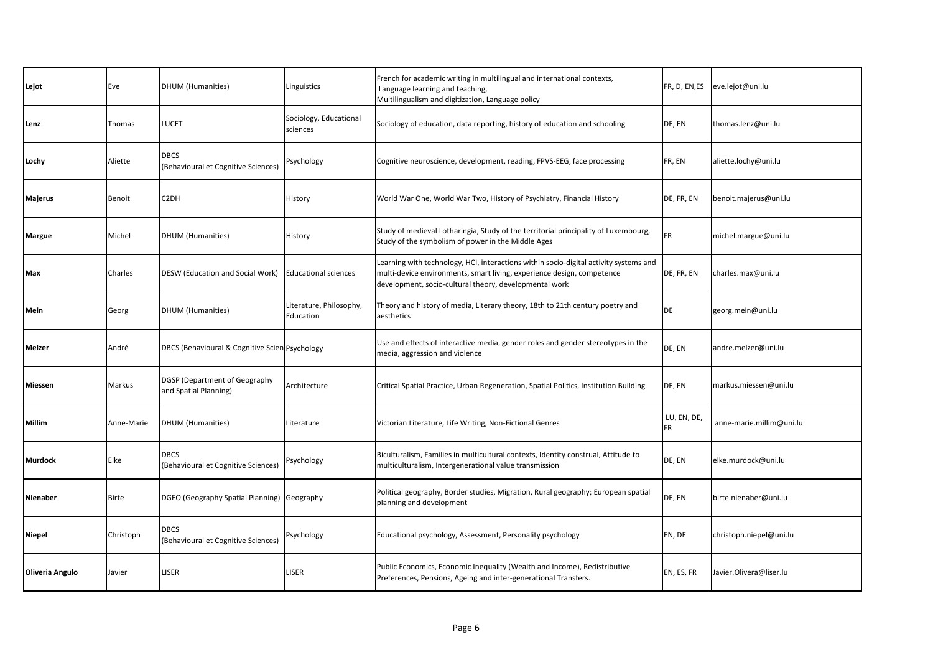| Lejot           | Eve           | <b>DHUM</b> (Humanities)                                      | Linguistics                          | French for academic writing in multilingual and international contexts,<br>Language learning and teaching,<br>Multilingualism and digitization, Language policy                                                           | FR, D, EN, ES            | eve.lejot@uni.lu         |
|-----------------|---------------|---------------------------------------------------------------|--------------------------------------|---------------------------------------------------------------------------------------------------------------------------------------------------------------------------------------------------------------------------|--------------------------|--------------------------|
| Lenz            | Thomas        | <b>LUCET</b>                                                  | Sociology, Educational<br>sciences   | Sociology of education, data reporting, history of education and schooling                                                                                                                                                | DE, EN                   | thomas.lenz@uni.lu       |
| Lochy           | Aliette       | <b>DBCS</b><br>(Behavioural et Cognitive Sciences)            | Psychology                           | Cognitive neuroscience, development, reading, FPVS-EEG, face processing                                                                                                                                                   | FR, EN                   | aliette.lochy@uni.lu     |
| Majerus         | <b>Benoit</b> | C <sub>2</sub> DH                                             | History                              | World War One, World War Two, History of Psychiatry, Financial History                                                                                                                                                    | DE, FR, EN               | benoit.majerus@uni.lu    |
| Margue          | Michel        | <b>DHUM</b> (Humanities)                                      | History                              | Study of medieval Lotharingia, Study of the territorial principality of Luxembourg,<br>Study of the symbolism of power in the Middle Ages                                                                                 | <b>FR</b>                | michel.margue@uni.lu     |
| Max             | Charles       | DESW (Education and Social Work)                              | <b>Educational sciences</b>          | Learning with technology, HCI, interactions within socio-digital activity systems and<br>multi-device environments, smart living, experience design, competence<br>development, socio-cultural theory, developmental work | DE, FR, EN               | charles.max@uni.lu       |
| Mein            | Georg         | <b>DHUM</b> (Humanities)                                      | Literature, Philosophy,<br>Education | Theory and history of media, Literary theory, 18th to 21th century poetry and<br>aesthetics                                                                                                                               | DE                       | georg.mein@uni.lu        |
| Melzer          | André         | DBCS (Behavioural & Cognitive Scien Psychology                |                                      | Use and effects of interactive media, gender roles and gender stereotypes in the<br>media, aggression and violence                                                                                                        | DE, EN                   | andre.melzer@uni.lu      |
| Miessen         | Markus        | <b>DGSP</b> (Department of Geography<br>and Spatial Planning) | Architecture                         | Critical Spatial Practice, Urban Regeneration, Spatial Politics, Institution Building                                                                                                                                     | DE, EN                   | markus.miessen@uni.lu    |
| Millim          | Anne-Marie    | <b>DHUM</b> (Humanities)                                      | Literature                           | Victorian Literature, Life Writing, Non-Fictional Genres                                                                                                                                                                  | LU, EN, DE,<br><b>FR</b> | anne-marie.millim@uni.lu |
| <b>Murdock</b>  | Elke          | <b>DBCS</b><br>(Behavioural et Cognitive Sciences)            | Psychology                           | Biculturalism, Families in multicultural contexts, Identity construal, Attitude to<br>multiculturalism, Intergenerational value transmission                                                                              | DE, EN                   | elke.murdock@uni.lu      |
| Nienaber        | <b>Birte</b>  | DGEO (Geography Spatial Planning) Geography                   |                                      | Political geography, Border studies, Migration, Rural geography; European spatial<br>planning and development                                                                                                             | DE, EN                   | birte.nienaber@uni.lu    |
| <b>Niepel</b>   | Christoph     | <b>DBCS</b><br>(Behavioural et Cognitive Sciences)            | Psychology                           | Educational psychology, Assessment, Personality psychology                                                                                                                                                                | EN, DE                   | christoph.niepel@uni.lu  |
| Oliveria Angulo | Javier        | LISER                                                         | LISER                                | Public Economics, Economic Inequality (Wealth and Income), Redistributive<br>Preferences, Pensions, Ageing and inter-generational Transfers.                                                                              | EN, ES, FR               | Javier.Olivera@liser.lu  |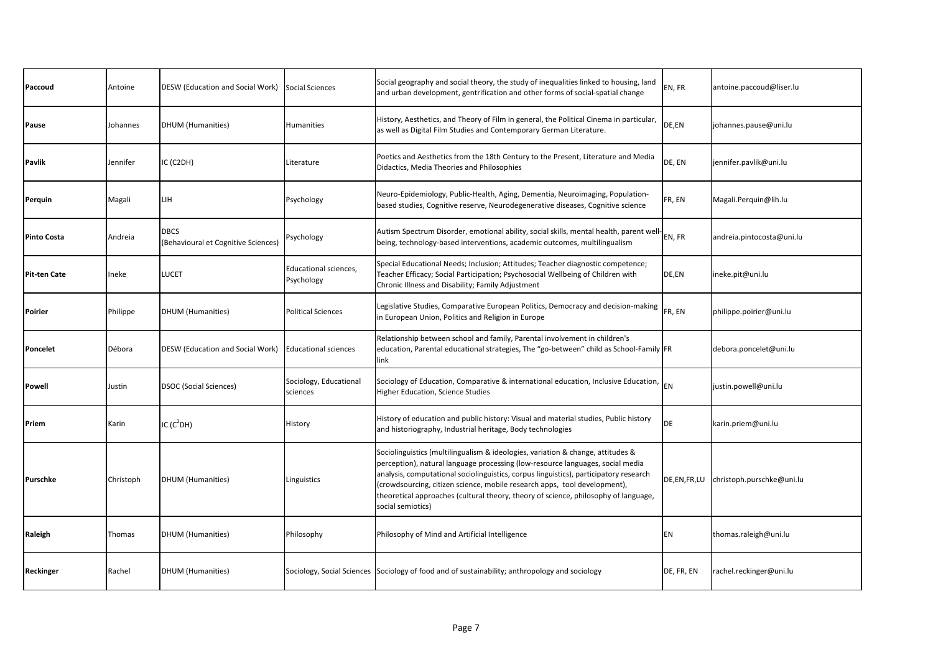| Paccoud             | Antoine   | DESW (Education and Social Work)                   | <b>Social Sciences</b>              | Social geography and social theory, the study of inequalities linked to housing, land<br>and urban development, gentrification and other forms of social-spatial change                                                                                                                                                                                                                                                                             | EN, FR      | antoine.paccoud@liser.lu  |
|---------------------|-----------|----------------------------------------------------|-------------------------------------|-----------------------------------------------------------------------------------------------------------------------------------------------------------------------------------------------------------------------------------------------------------------------------------------------------------------------------------------------------------------------------------------------------------------------------------------------------|-------------|---------------------------|
| Pause               | Johannes  | <b>DHUM</b> (Humanities)                           | Humanities                          | History, Aesthetics, and Theory of Film in general, the Political Cinema in particular,<br>as well as Digital Film Studies and Contemporary German Literature.                                                                                                                                                                                                                                                                                      | DE,EN       | johannes.pause@uni.lu     |
| Pavlik              | Jennifer  | IC (C2DH)                                          | Literature                          | Poetics and Aesthetics from the 18th Century to the Present, Literature and Media<br>Didactics, Media Theories and Philosophies                                                                                                                                                                                                                                                                                                                     | DE, EN      | jennifer.pavlik@uni.lu    |
| Perquin             | Magali    | LIH                                                | Psychology                          | Neuro-Epidemiology, Public-Health, Aging, Dementia, Neuroimaging, Population-<br>based studies, Cognitive reserve, Neurodegenerative diseases, Cognitive science                                                                                                                                                                                                                                                                                    | FR, EN      | Magali.Perquin@lih.lu     |
| Pinto Costa         | Andreia   | <b>DBCS</b><br>(Behavioural et Cognitive Sciences) | Psychology                          | Autism Spectrum Disorder, emotional ability, social skills, mental health, parent well-<br>being, technology-based interventions, academic outcomes, multilingualism                                                                                                                                                                                                                                                                                | EN, FR      | andreia.pintocosta@uni.lu |
| <b>Pit-ten Cate</b> | Ineke     | <b>LUCET</b>                                       | Educational sciences,<br>Psychology | Special Educational Needs; Inclusion; Attitudes; Teacher diagnostic competence;<br>Teacher Efficacy; Social Participation; Psychosocial Wellbeing of Children with<br>Chronic Illness and Disability; Family Adjustment                                                                                                                                                                                                                             | DE,EN       | ineke.pit@uni.lu          |
| Poirier             | Philippe  | DHUM (Humanities)                                  | <b>Political Sciences</b>           | Legislative Studies, Comparative European Politics, Democracy and decision-making<br>in European Union, Politics and Religion in Europe                                                                                                                                                                                                                                                                                                             | FR, EN      | philippe.poirier@uni.lu   |
| Poncelet            | Débora    | DESW (Education and Social Work)                   | <b>Educational sciences</b>         | Relationship between school and family, Parental involvement in children's<br>education, Parental educational strategies, The "go-between" child as School-Family FR<br>link                                                                                                                                                                                                                                                                        |             | debora.poncelet@uni.lu    |
| Powell              | Justin    | <b>DSOC (Social Sciences)</b>                      | Sociology, Educational<br>sciences  | Sociology of Education, Comparative & international education, Inclusive Education, $\vert_{\mathsf{EN}}$<br>Higher Education, Science Studies                                                                                                                                                                                                                                                                                                      |             | justin.powell@uni.lu      |
| Priem               | Karin     | IC $(C^2DH)$                                       | History                             | History of education and public history: Visual and material studies, Public history<br>and historiography, Industrial heritage, Body technologies                                                                                                                                                                                                                                                                                                  | DE          | karin.priem@uni.lu        |
| Purschke            | Christoph | <b>DHUM</b> (Humanities)                           | Linguistics                         | Sociolinguistics (multilingualism & ideologies, variation & change, attitudes &<br>perception), natural language processing (low-resource languages, social media<br>analysis, computational sociolinguistics, corpus linguistics), participatory research<br>(crowdsourcing, citizen science, mobile research apps, tool development),<br>theoretical approaches (cultural theory, theory of science, philosophy of language,<br>social semiotics) | DE,EN,FR,LU | christoph.purschke@uni.lu |
| Raleigh             | Thomas    | <b>DHUM</b> (Humanities)                           | Philosophy                          | Philosophy of Mind and Artificial Intelligence                                                                                                                                                                                                                                                                                                                                                                                                      | EN          | thomas.raleigh@uni.lu     |
| Reckinger           | Rachel    | <b>DHUM</b> (Humanities)                           |                                     | Sociology, Social Sciences Sociology of food and of sustainability; anthropology and sociology                                                                                                                                                                                                                                                                                                                                                      | DE, FR, EN  | rachel.reckinger@uni.lu   |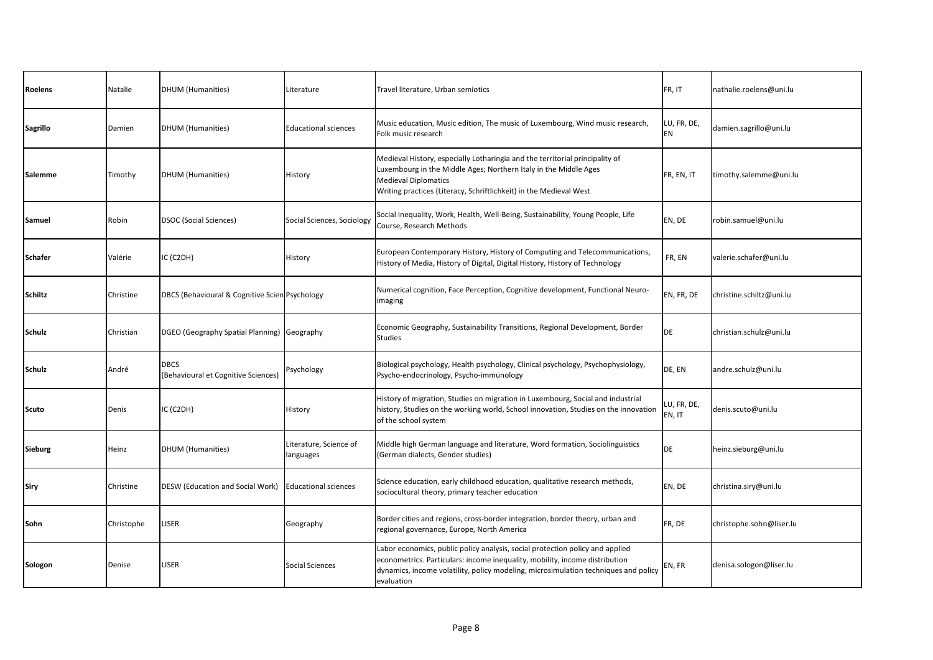| Roelens        | Natalie    | DHUM (Humanities)                                  | Literature                          | Travel literature, Urban semiotics                                                                                                                                                                                                                                | FR, IT                | nathalie.roelens@uni.lu  |
|----------------|------------|----------------------------------------------------|-------------------------------------|-------------------------------------------------------------------------------------------------------------------------------------------------------------------------------------------------------------------------------------------------------------------|-----------------------|--------------------------|
| Sagrillo       | Damien     | DHUM (Humanities)                                  | <b>Educational sciences</b>         | Music education, Music edition, The music of Luxembourg, Wind music research,<br>Folk music research                                                                                                                                                              | LU, FR, DE,<br>EN     | damien.sagrillo@uni.lu   |
| Salemme        | Timothy    | <b>DHUM (Humanities)</b>                           | History                             | Medieval History, especially Lotharingia and the territorial principality of<br>Luxembourg in the Middle Ages; Northern Italy in the Middle Ages<br><b>Medieval Diplomatics</b><br>Writing practices (Literacy, Schriftlichkeit) in the Medieval West             | FR, EN, IT            | timothy.salemme@uni.lu   |
| Samuel         | Robin      | <b>DSOC (Social Sciences)</b>                      | Social Sciences, Sociology          | Social Inequality, Work, Health, Well-Being, Sustainability, Young People, Life<br>Course, Research Methods                                                                                                                                                       | EN, DE                | robin.samuel@uni.lu      |
| Schafer        | Valérie    | C (C2DH)                                           | History                             | European Contemporary History, History of Computing and Telecommunications,<br>History of Media, History of Digital, Digital History, History of Technology                                                                                                       | FR, EN                | valerie.schafer@uni.lu   |
| Schiltz        | Christine  | DBCS (Behavioural & Cognitive Scien Psychology     |                                     | Numerical cognition, Face Perception, Cognitive development, Functional Neuro-<br>imaging                                                                                                                                                                         | EN, FR, DE            | christine.schiltz@uni.lu |
| Schulz         | Christian  | DGEO (Geography Spatial Planning) Geography        |                                     | Economic Geography, Sustainability Transitions, Regional Development, Border<br><b>Studies</b>                                                                                                                                                                    | DE                    | christian.schulz@uni.lu  |
| Schulz         | André      | <b>DBCS</b><br>(Behavioural et Cognitive Sciences) | Psychology                          | Biological psychology, Health psychology, Clinical psychology, Psychophysiology,<br>Psycho-endocrinology, Psycho-immunology                                                                                                                                       | DE, EN                | andre.schulz@uni.lu      |
| <b>Scuto</b>   | Denis      | IC (C2DH)                                          | History                             | History of migration, Studies on migration in Luxembourg, Social and industrial<br>history, Studies on the working world, School innovation, Studies on the innovation<br>of the school system                                                                    | LU, FR, DE,<br>EN, IT | denis.scuto@uni.lu       |
| <b>Sieburg</b> | Heinz      | DHUM (Humanities)                                  | Literature, Science of<br>languages | Middle high German language and literature, Word formation, Sociolinguistics<br>(German dialects, Gender studies)                                                                                                                                                 | <b>DE</b>             | heinz.sieburg@uni.lu     |
| Siry           | Christine  | DESW (Education and Social Work)                   | <b>Educational sciences</b>         | Science education, early childhood education, qualitative research methods,<br>sociocultural theory, primary teacher education                                                                                                                                    | EN, DE                | christina.siry@uni.lu    |
| Sohn           | Christophe | LISER                                              | Geography                           | Border cities and regions, cross-border integration, border theory, urban and<br>regional governance, Europe, North America                                                                                                                                       | FR, DE                | christophe.sohn@liser.lu |
| Sologon        | Denise     | LISER                                              | Social Sciences                     | Labor economics, public policy analysis, social protection policy and applied<br>econometrics. Particulars: income inequality, mobility, income distribution<br>dynamics, income volatility, policy modeling, microsimulation techniques and policy<br>evaluation | EN, FR                | denisa.sologon@liser.lu  |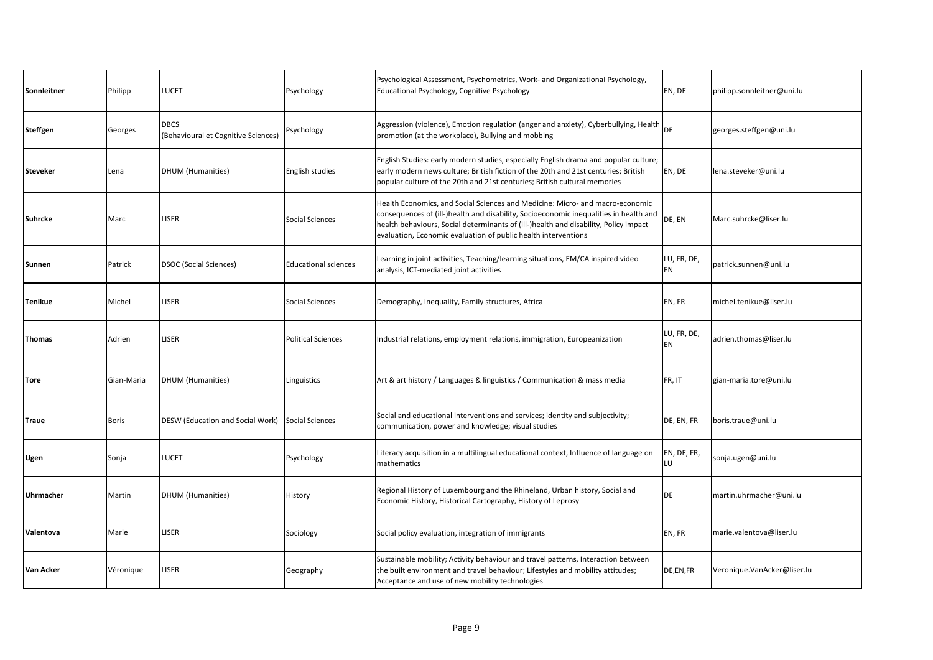| Sonnleitner      | Philipp      | .UCET                                              | Psychology                  | Psychological Assessment, Psychometrics, Work- and Organizational Psychology,<br>Educational Psychology, Cognitive Psychology                                                                                                                                                                                                    | EN, DE            | philipp.sonnleitner@uni.lu  |
|------------------|--------------|----------------------------------------------------|-----------------------------|----------------------------------------------------------------------------------------------------------------------------------------------------------------------------------------------------------------------------------------------------------------------------------------------------------------------------------|-------------------|-----------------------------|
| <b>Steffgen</b>  | Georges      | <b>DBCS</b><br>(Behavioural et Cognitive Sciences) | Psychology                  | Aggression (violence), Emotion regulation (anger and anxiety), Cyberbullying, Health $ _{\text{DE}}$<br>promotion (at the workplace), Bullying and mobbing                                                                                                                                                                       |                   | georges.steffgen@uni.lu     |
| <b>Steveker</b>  | Lena         | DHUM (Humanities)                                  | English studies             | English Studies: early modern studies, especially English drama and popular culture;<br>early modern news culture; British fiction of the 20th and 21st centuries; British<br>popular culture of the 20th and 21st centuries; British cultural memories                                                                          | EN, DE            | lena.steveker@uni.lu        |
| Suhrcke          | Marc         | <b>LISER</b>                                       | Social Sciences             | Health Economics, and Social Sciences and Medicine: Micro- and macro-economic<br>consequences of (ill-)health and disability, Socioeconomic inequalities in health and<br>health behaviours, Social determinants of (ill-)health and disability, Policy impact<br>evaluation, Economic evaluation of public health interventions | DE, EN            | Marc.suhrcke@liser.lu       |
| Sunnen           | Patrick      | <b>DSOC (Social Sciences)</b>                      | <b>Educational sciences</b> | Learning in joint activities, Teaching/learning situations, EM/CA inspired video<br>analysis, ICT-mediated joint activities                                                                                                                                                                                                      | LU, FR, DE,<br>EN | patrick.sunnen@uni.lu       |
| Tenikue          | Michel       | LISER                                              | <b>Social Sciences</b>      | Demography, Inequality, Family structures, Africa                                                                                                                                                                                                                                                                                | EN, FR            | michel.tenikue@liser.lu     |
| Thomas           | Adrien       | LISER                                              | <b>Political Sciences</b>   | Industrial relations, employment relations, immigration, Europeanization                                                                                                                                                                                                                                                         | LU, FR, DE,<br>EN | adrien.thomas@liser.lu      |
| Tore             | Gian-Maria   | <b>DHUM</b> (Humanities)                           | Linguistics                 | Art & art history / Languages & linguistics / Communication & mass media                                                                                                                                                                                                                                                         | FR, IT            | gian-maria.tore@uni.lu      |
| Traue            | <b>Boris</b> | DESW (Education and Social Work)                   | <b>Social Sciences</b>      | Social and educational interventions and services; identity and subjectivity;<br>communication, power and knowledge; visual studies                                                                                                                                                                                              | DE, EN, FR        | boris.traue@uni.lu          |
| Ugen             | Sonja        | LUCET                                              | Psychology                  | Literacy acquisition in a multilingual educational context, Influence of language on<br>mathematics                                                                                                                                                                                                                              | EN, DE, FR,<br>LU | sonja.ugen@uni.lu           |
| Uhrmacher        | Martin       | <b>DHUM</b> (Humanities)                           | History                     | Regional History of Luxembourg and the Rhineland, Urban history, Social and<br>Economic History, Historical Cartography, History of Leprosy                                                                                                                                                                                      | <b>DE</b>         | martin.uhrmacher@uni.lu     |
| Valentova        | Marie        | LISER                                              | Sociology                   | Social policy evaluation, integration of immigrants                                                                                                                                                                                                                                                                              | EN, FR            | marie.valentova@liser.lu    |
| <b>Van Acker</b> | Véronique    | <b>ISER</b>                                        | Geography                   | Sustainable mobility; Activity behaviour and travel patterns, Interaction between<br>the built environment and travel behaviour; Lifestyles and mobility attitudes;<br>Acceptance and use of new mobility technologies                                                                                                           | DE,EN,FR          | Veronique.VanAcker@liser.lu |